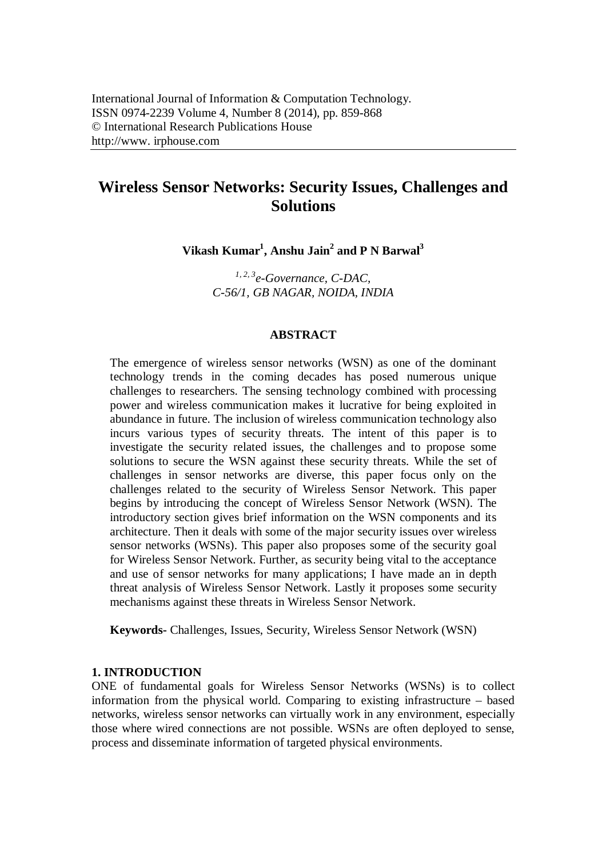# **Wireless Sensor Networks: Security Issues, Challenges and Solutions**

**Vikash Kumar<sup>1</sup> , Anshu Jain<sup>2</sup> and P N Barwal<sup>3</sup>**

*1, 2, 3 e-Governance, C-DAC, C-56/1, GB NAGAR, NOIDA, INDIA*

### **ABSTRACT**

The emergence of wireless sensor networks (WSN) as one of the dominant technology trends in the coming decades has posed numerous unique challenges to researchers. The sensing technology combined with processing power and wireless communication makes it lucrative for being exploited in abundance in future. The inclusion of wireless communication technology also incurs various types of security threats. The intent of this paper is to investigate the security related issues, the challenges and to propose some solutions to secure the WSN against these security threats. While the set of challenges in sensor networks are diverse, this paper focus only on the challenges related to the security of Wireless Sensor Network. This paper begins by introducing the concept of Wireless Sensor Network (WSN). The introductory section gives brief information on the WSN components and its architecture. Then it deals with some of the major security issues over wireless sensor networks (WSNs). This paper also proposes some of the security goal for Wireless Sensor Network. Further, as security being vital to the acceptance and use of sensor networks for many applications; I have made an in depth threat analysis of Wireless Sensor Network. Lastly it proposes some security mechanisms against these threats in Wireless Sensor Network.

**Keywords-** Challenges, Issues, Security, Wireless Sensor Network (WSN)

### **1. INTRODUCTION**

ONE of fundamental goals for Wireless Sensor Networks (WSNs) is to collect information from the physical world. Comparing to existing infrastructure – based networks, wireless sensor networks can virtually work in any environment, especially those where wired connections are not possible. WSNs are often deployed to sense, process and disseminate information of targeted physical environments.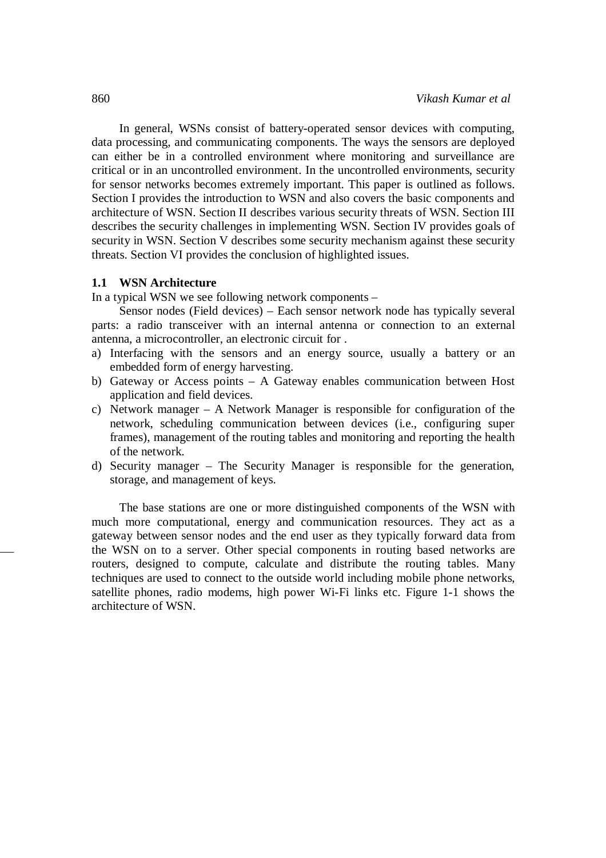In general, WSNs consist of battery-operated sensor devices with computing, data processing, and communicating components. The ways the sensors are deployed can either be in a controlled environment where monitoring and surveillance are critical or in an uncontrolled environment. In the uncontrolled environments, security for sensor networks becomes extremely important. This paper is outlined as follows. Section I provides the introduction to WSN and also covers the basic components and architecture of WSN. Section II describes various security threats of WSN. Section III describes the security challenges in implementing WSN. Section IV provides goals of security in WSN. Section V describes some security mechanism against these security threats. Section VI provides the conclusion of highlighted issues.

### **1.1 WSN Architecture**

In a typical WSN we see following network components –

Sensor nodes (Field devices) – Each sensor network node has typically several parts: a radio transceiver with an internal antenna or connection to an external antenna, a microcontroller, an electronic circuit for .

- a) Interfacing with the sensors and an energy source, usually a battery or an embedded form of energy harvesting.
- b) Gateway or Access points A Gateway enables communication between Host application and field devices.
- c) Network manager A Network Manager is responsible for configuration of the network, scheduling communication between devices (i.e., configuring super frames), management of the routing tables and monitoring and reporting the health of the network.
- d) Security manager The Security Manager is responsible for the generation, storage, and management of keys.

The base stations are one or more distinguished components of the WSN with much more computational, energy and communication resources. They act as a gateway between sensor nodes and the end user as they typically forward data from the WSN on to a server. Other special components in routing based networks are routers, designed to compute, calculate and distribute the routing tables. Many techniques are used to connect to the outside world including mobile phone networks, satellite phones, radio modems, high power Wi-Fi links etc. Figure 1-1 shows the architecture of WSN.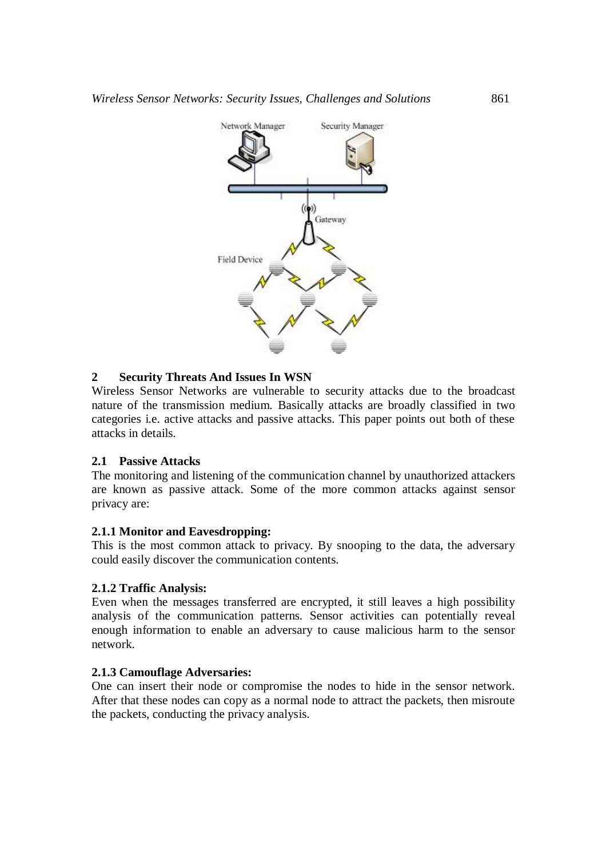

### **2 Security Threats And Issues In WSN**

Wireless Sensor Networks are vulnerable to security attacks due to the broadcast nature of the transmission medium. Basically attacks are broadly classified in two categories i.e. active attacks and passive attacks. This paper points out both of these attacks in details.

### **2.1 Passive Attacks**

The monitoring and listening of the communication channel by unauthorized attackers are known as passive attack. Some of the more common attacks against sensor privacy are:

### **2.1.1 Monitor and Eavesdropping:**

This is the most common attack to privacy. By snooping to the data, the adversary could easily discover the communication contents.

### **2.1.2 Traffic Analysis:**

Even when the messages transferred are encrypted, it still leaves a high possibility analysis of the communication patterns. Sensor activities can potentially reveal enough information to enable an adversary to cause malicious harm to the sensor network.

### **2.1.3 Camouflage Adversaries:**

One can insert their node or compromise the nodes to hide in the sensor network. After that these nodes can copy as a normal node to attract the packets, then misroute the packets, conducting the privacy analysis.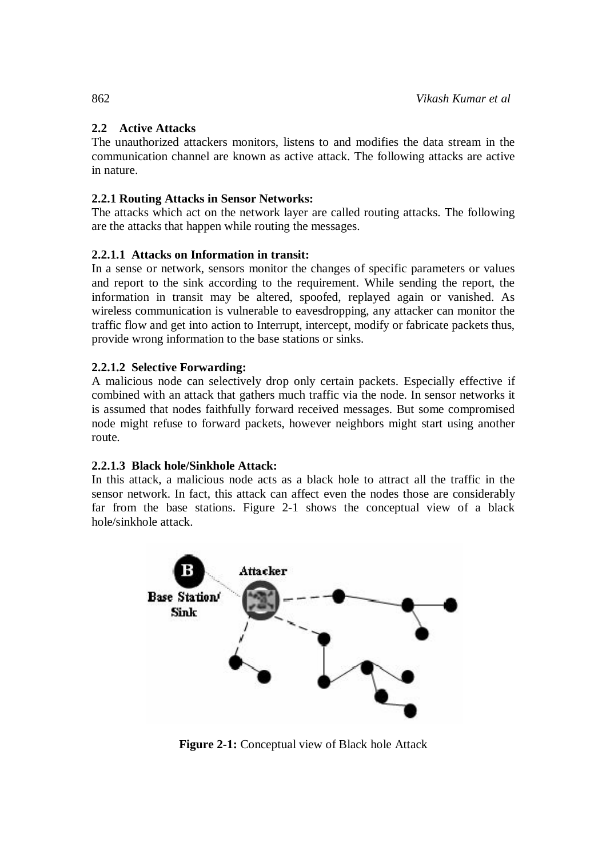# **2.2 Active Attacks**

The unauthorized attackers monitors, listens to and modifies the data stream in the communication channel are known as active attack. The following attacks are active in nature.

# **2.2.1 Routing Attacks in Sensor Networks:**

The attacks which act on the network layer are called routing attacks. The following are the attacks that happen while routing the messages.

# **2.2.1.1 Attacks on Information in transit:**

In a sense or network, sensors monitor the changes of specific parameters or values and report to the sink according to the requirement. While sending the report, the information in transit may be altered, spoofed, replayed again or vanished. As wireless communication is vulnerable to eavesdropping, any attacker can monitor the traffic flow and get into action to Interrupt, intercept, modify or fabricate packets thus, provide wrong information to the base stations or sinks.

# **2.2.1.2 Selective Forwarding:**

A malicious node can selectively drop only certain packets. Especially effective if combined with an attack that gathers much traffic via the node. In sensor networks it is assumed that nodes faithfully forward received messages. But some compromised node might refuse to forward packets, however neighbors might start using another route.

# **2.2.1.3 Black hole/Sinkhole Attack:**

In this attack, a malicious node acts as a black hole to attract all the traffic in the sensor network. In fact, this attack can affect even the nodes those are considerably far from the base stations. Figure 2-1 shows the conceptual view of a black hole/sinkhole attack.



**Figure 2-1:** Conceptual view of Black hole Attack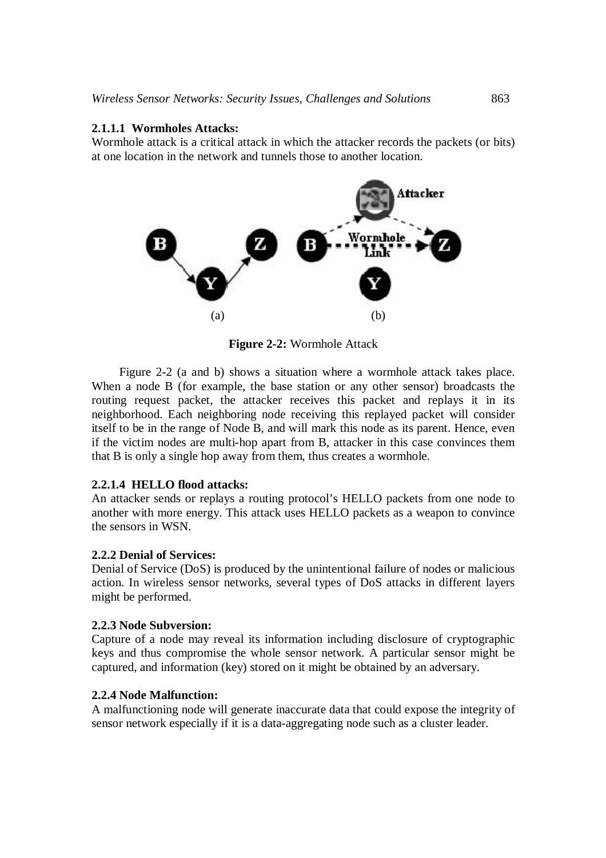### **2.1.1.1 Wormholes Attacks:**

Wormhole attack is a critical attack in which the attacker records the packets (or bits) at one location in the network and tunnels those to another location.



**Figure 2-2:** Wormhole Attack

Figure 2-2 (a and b) shows a situation where a wormhole attack takes place. When a node B (for example, the base station or any other sensor) broadcasts the routing request packet, the attacker receives this packet and replays it in its neighborhood. Each neighboring node receiving this replayed packet will consider itself to be in the range of Node B, and will mark this node as its parent. Hence, even if the victim nodes are multi-hop apart from B, attacker in this case convinces them that B is only a single hop away from them, thus creates a wormhole.

### **2.2.1.4 HELLO flood attacks:**

An attacker sends or replays a routing protocol's HELLO packets from one node to another with more energy. This attack uses HELLO packets as a weapon to convince the sensors in WSN.

### **2.2.2 Denial of Services:**

Denial of Service (DoS) is produced by the unintentional failure of nodes or malicious action. In wireless sensor networks, several types of DoS attacks in different layers might be performed.

### **2.2.3 Node Subversion:**

Capture of a node may reveal its information including disclosure of cryptographic keys and thus compromise the whole sensor network. A particular sensor might be captured, and information (key) stored on it might be obtained by an adversary.

### **2.2.4 Node Malfunction:**

A malfunctioning node will generate inaccurate data that could expose the integrity of sensor network especially if it is a data-aggregating node such as a cluster leader.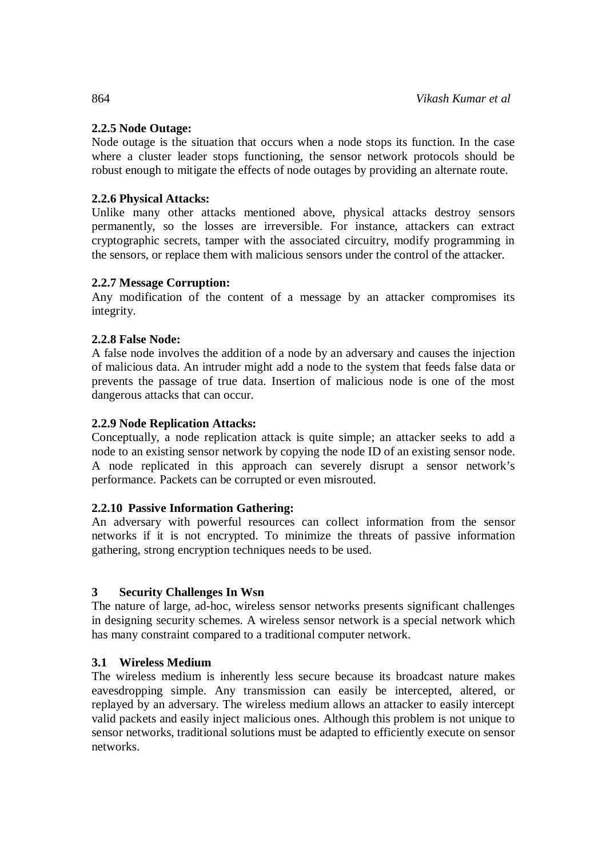# **2.2.5 Node Outage:**

Node outage is the situation that occurs when a node stops its function. In the case where a cluster leader stops functioning, the sensor network protocols should be robust enough to mitigate the effects of node outages by providing an alternate route.

# **2.2.6 Physical Attacks:**

Unlike many other attacks mentioned above, physical attacks destroy sensors permanently, so the losses are irreversible. For instance, attackers can extract cryptographic secrets, tamper with the associated circuitry, modify programming in the sensors, or replace them with malicious sensors under the control of the attacker.

# **2.2.7 Message Corruption:**

Any modification of the content of a message by an attacker compromises its integrity.

# **2.2.8 False Node:**

A false node involves the addition of a node by an adversary and causes the injection of malicious data. An intruder might add a node to the system that feeds false data or prevents the passage of true data. Insertion of malicious node is one of the most dangerous attacks that can occur.

# **2.2.9 Node Replication Attacks:**

Conceptually, a node replication attack is quite simple; an attacker seeks to add a node to an existing sensor network by copying the node ID of an existing sensor node. A node replicated in this approach can severely disrupt a sensor network's performance. Packets can be corrupted or even misrouted.

### **2.2.10 Passive Information Gathering:**

An adversary with powerful resources can collect information from the sensor networks if it is not encrypted. To minimize the threats of passive information gathering, strong encryption techniques needs to be used.

# **3 Security Challenges In Wsn**

The nature of large, ad-hoc, wireless sensor networks presents significant challenges in designing security schemes. A wireless sensor network is a special network which has many constraint compared to a traditional computer network.

### **3.1 Wireless Medium**

The wireless medium is inherently less secure because its broadcast nature makes eavesdropping simple. Any transmission can easily be intercepted, altered, or replayed by an adversary. The wireless medium allows an attacker to easily intercept valid packets and easily inject malicious ones. Although this problem is not unique to sensor networks, traditional solutions must be adapted to efficiently execute on sensor networks.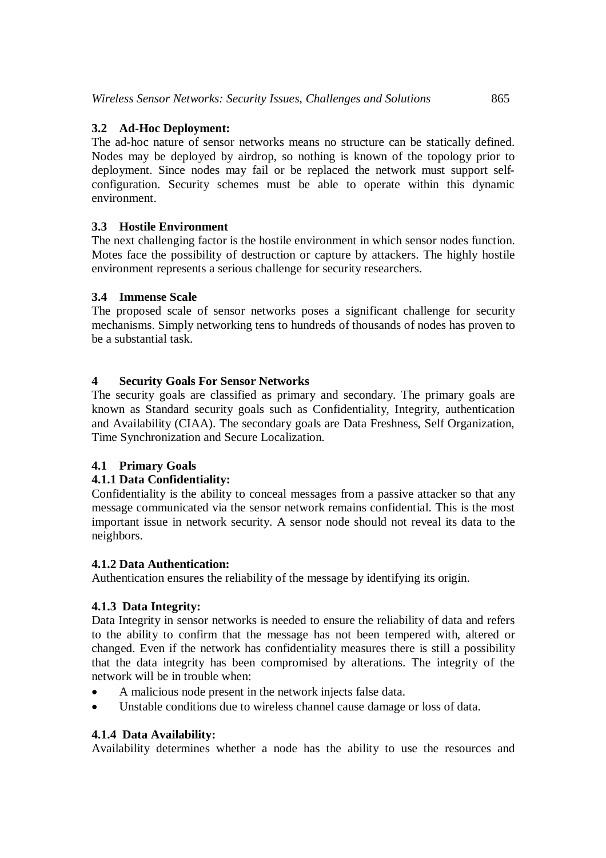# **3.2 Ad-Hoc Deployment:**

The ad-hoc nature of sensor networks means no structure can be statically defined. Nodes may be deployed by airdrop, so nothing is known of the topology prior to deployment. Since nodes may fail or be replaced the network must support selfconfiguration. Security schemes must be able to operate within this dynamic environment.

# **3.3 Hostile Environment**

The next challenging factor is the hostile environment in which sensor nodes function. Motes face the possibility of destruction or capture by attackers. The highly hostile environment represents a serious challenge for security researchers.

# **3.4 Immense Scale**

The proposed scale of sensor networks poses a significant challenge for security mechanisms. Simply networking tens to hundreds of thousands of nodes has proven to be a substantial task.

# **4 Security Goals For Sensor Networks**

The security goals are classified as primary and secondary. The primary goals are known as Standard security goals such as Confidentiality, Integrity, authentication and Availability (CIAA). The secondary goals are Data Freshness, Self Organization, Time Synchronization and Secure Localization.

# **4.1 Primary Goals**

# **4.1.1 Data Confidentiality:**

Confidentiality is the ability to conceal messages from a passive attacker so that any message communicated via the sensor network remains confidential. This is the most important issue in network security. A sensor node should not reveal its data to the neighbors.

### **4.1.2 Data Authentication:**

Authentication ensures the reliability of the message by identifying its origin.

# **4.1.3 Data Integrity:**

Data Integrity in sensor networks is needed to ensure the reliability of data and refers to the ability to confirm that the message has not been tempered with, altered or changed. Even if the network has confidentiality measures there is still a possibility that the data integrity has been compromised by alterations. The integrity of the network will be in trouble when:

- A malicious node present in the network injects false data.
- Unstable conditions due to wireless channel cause damage or loss of data.

# **4.1.4 Data Availability:**

Availability determines whether a node has the ability to use the resources and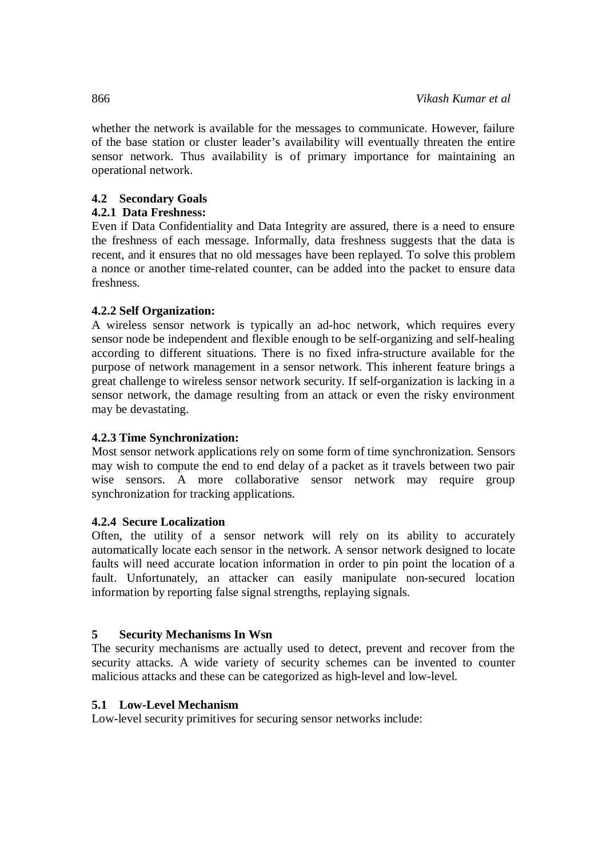whether the network is available for the messages to communicate. However, failure of the base station or cluster leader's availability will eventually threaten the entire sensor network. Thus availability is of primary importance for maintaining an operational network.

# **4.2 Secondary Goals**

# **4.2.1 Data Freshness:**

Even if Data Confidentiality and Data Integrity are assured, there is a need to ensure the freshness of each message. Informally, data freshness suggests that the data is recent, and it ensures that no old messages have been replayed. To solve this problem a nonce or another time-related counter, can be added into the packet to ensure data freshness.

# **4.2.2 Self Organization:**

A wireless sensor network is typically an ad-hoc network, which requires every sensor node be independent and flexible enough to be self-organizing and self-healing according to different situations. There is no fixed infra-structure available for the purpose of network management in a sensor network. This inherent feature brings a great challenge to wireless sensor network security. If self-organization is lacking in a sensor network, the damage resulting from an attack or even the risky environment may be devastating.

# **4.2.3 Time Synchronization:**

Most sensor network applications rely on some form of time synchronization. Sensors may wish to compute the end to end delay of a packet as it travels between two pair wise sensors. A more collaborative sensor network may require group synchronization for tracking applications.

# **4.2.4 Secure Localization**

Often, the utility of a sensor network will rely on its ability to accurately automatically locate each sensor in the network. A sensor network designed to locate faults will need accurate location information in order to pin point the location of a fault. Unfortunately, an attacker can easily manipulate non-secured location information by reporting false signal strengths, replaying signals.

# **5 Security Mechanisms In Wsn**

The security mechanisms are actually used to detect, prevent and recover from the security attacks. A wide variety of security schemes can be invented to counter malicious attacks and these can be categorized as high-level and low-level.

# **5.1 Low-Level Mechanism**

Low-level security primitives for securing sensor networks include: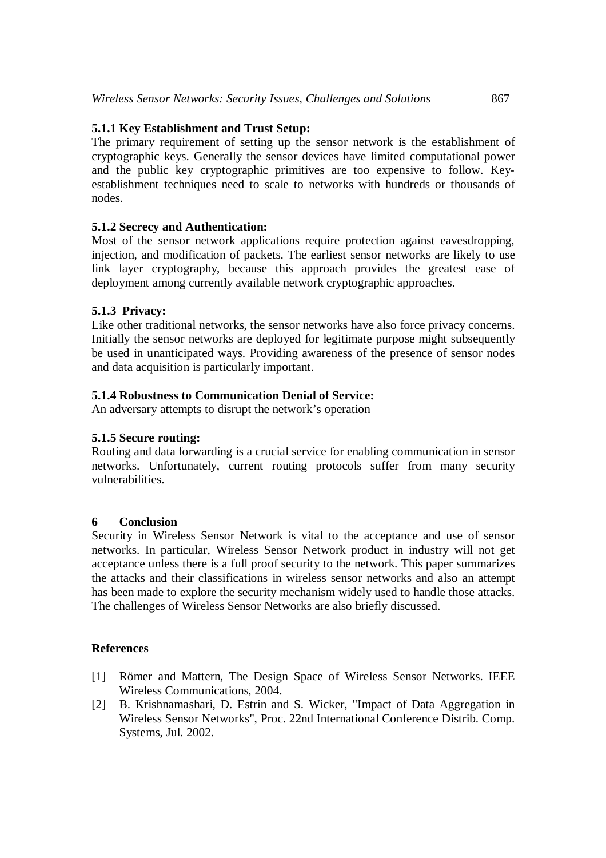# **5.1.1 Key Establishment and Trust Setup:**

The primary requirement of setting up the sensor network is the establishment of cryptographic keys. Generally the sensor devices have limited computational power and the public key cryptographic primitives are too expensive to follow. Keyestablishment techniques need to scale to networks with hundreds or thousands of nodes.

# **5.1.2 Secrecy and Authentication:**

Most of the sensor network applications require protection against eavesdropping, injection, and modification of packets. The earliest sensor networks are likely to use link layer cryptography, because this approach provides the greatest ease of deployment among currently available network cryptographic approaches.

# **5.1.3 Privacy:**

Like other traditional networks, the sensor networks have also force privacy concerns. Initially the sensor networks are deployed for legitimate purpose might subsequently be used in unanticipated ways. Providing awareness of the presence of sensor nodes and data acquisition is particularly important.

# **5.1.4 Robustness to Communication Denial of Service:**

An adversary attempts to disrupt the network's operation

### **5.1.5 Secure routing:**

Routing and data forwarding is a crucial service for enabling communication in sensor networks. Unfortunately, current routing protocols suffer from many security vulnerabilities.

### **6 Conclusion**

Security in Wireless Sensor Network is vital to the acceptance and use of sensor networks. In particular, Wireless Sensor Network product in industry will not get acceptance unless there is a full proof security to the network. This paper summarizes the attacks and their classifications in wireless sensor networks and also an attempt has been made to explore the security mechanism widely used to handle those attacks. The challenges of Wireless Sensor Networks are also briefly discussed.

### **References**

- [1] Römer and Mattern, The Design Space of Wireless Sensor Networks. IEEE Wireless Communications, 2004.
- [2] B. Krishnamashari, D. Estrin and S. Wicker, "Impact of Data Aggregation in Wireless Sensor Networks", Proc. 22nd International Conference Distrib. Comp. Systems, Jul. 2002.